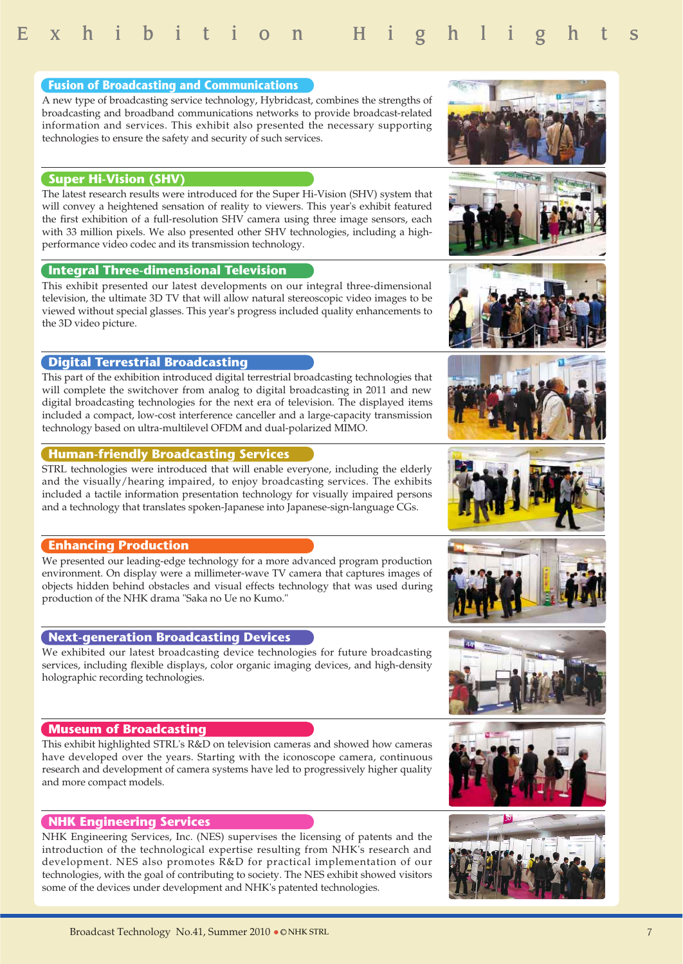

#### **Next-generation Broadcasting Devices**

We exhibited our latest broadcasting device technologies for future broadcasting services, including flexible displays, color organic imaging devices, and high-density holographic recording technologies.

#### **Museum of Broadcasting**

This exhibit highlighted STRL's R&D on television cameras and showed how cameras have developed over the years. Starting with the iconoscope camera, continuous research and development of camera systems have led to progressively higher quality and more compact models.

#### **NHK Engineering Services**

NHK Engineering Services, Inc. (NES) supervises the licensing of patents and the introduction of the technological expertise resulting from NHK's research and development. NES also promotes R&D for practical implementation of our technologies, with the goal of contributing to society. The NES exhibit showed visitors some of the devices under development and NHK's patented technologies.

#### **Digital Terrestrial Broadcasting**

This part of the exhibition introduced digital terrestrial broadcasting technologies that will complete the switchover from analog to digital broadcasting in 2011 and new digital broadcasting technologies for the next era of television. The displayed items included a compact, low-cost interference canceller and a large-capacity transmission technology based on ultra-multilevel OFDM and dual-polarized MIMO.

#### **Human-friendly Broadcasting Services**

STRL technologies were introduced that will enable everyone, including the elderly and the visually/hearing impaired, to enjoy broadcasting services. The exhibits included a tactile information presentation technology for visually impaired persons and a technology that translates spoken-Japanese into Japanese-sign-language CGs.

#### **Enhancing Production**

We presented our leading-edge technology for a more advanced program production environment. On display were a millimeter-wave TV camera that captures images of objects hidden behind obstacles and visual effects technology that was used during production of the NHK drama "Saka no Ue no Kumo."

#### **Fusion of Broadcasting and Communications**

A new type of broadcasting service technology, Hybridcast, combines the strengths of broadcasting and broadband communications networks to provide broadcast-related information and services. This exhibit also presented the necessary supporting technologies to ensure the safety and security of such services.

#### **Super Hi-Vision (SHV)**

The latest research results were introduced for the Super Hi-Vision (SHV) system that will convey a heightened sensation of reality to viewers. This year's exhibit featured the first exhibition of a full-resolution SHV camera using three image sensors, each with 33 million pixels. We also presented other SHV technologies, including a highperformance video codec and its transmission technology.

#### **Integral Three-dimensional Television**

This exhibit presented our latest developments on our integral three-dimensional television, the ultimate 3D TV that will allow natural stereoscopic video images to be viewed without special glasses. This year's progress included quality enhancements to the 3D video picture.

















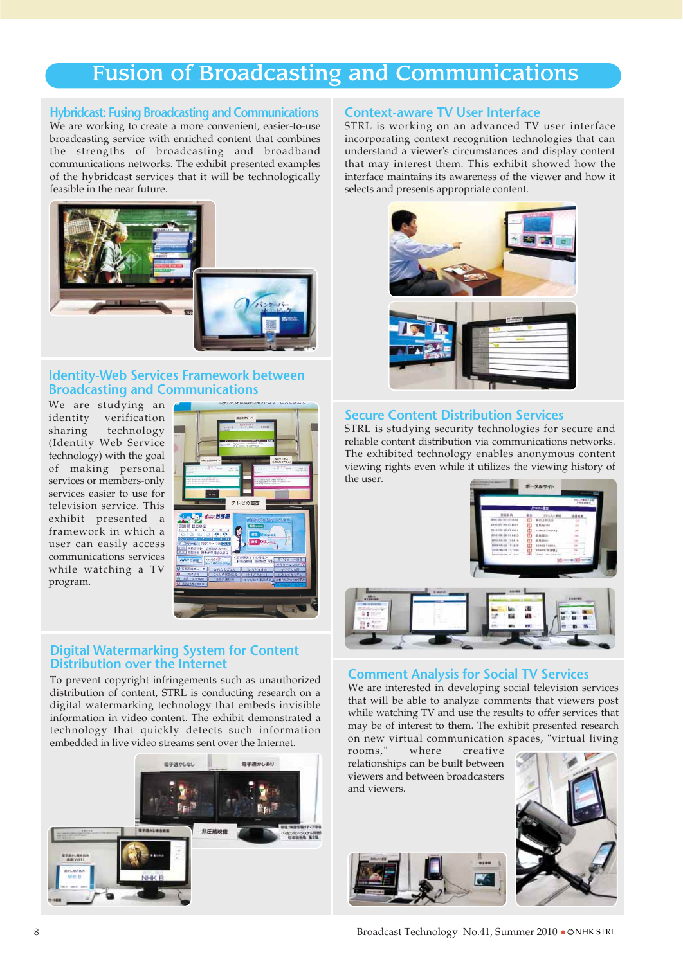### Fusion of Broadcasting and Communications

#### **Hybridcast: Fusing Broadcasting and Communications**

We are working to create a more convenient, easier-to-use broadcasting service with enriched content that combines the strengths of broadcasting and broadband communications networks. The exhibit presented examples of the hybridcast services that it will be technologically feasible in the near future.



#### **Identity-Web Services Framework between Broadcasting and Communications**

We are studying an<br>identity verification verification sharing technology (Identity Web Service technology) with the goal of making personal services or members-only services easier to use for television service. This exhibit presented a framework in which a user can easily access communications services while watching a TV program.



#### **Digital Watermarking System for Content Distribution over the Internet**

To prevent copyright infringements such as unauthorized distribution of content, STRL is conducting research on a digital watermarking technology that embeds invisible information in video content. The exhibit demonstrated a technology that quickly detects such information embedded in live video streams sent over the Internet.



#### **Context-aware TV User Interface**

STRL is working on an advanced TV user interface incorporating context recognition technologies that can understand a viewer's circumstances and display content that may interest them. This exhibit showed how the interface maintains its awareness of the viewer and how it selects and presents appropriate content.



#### **Secure Content Distribution Services**

STRL is studying security technologies for secure and reliable content distribution via communications networks. The exhibited technology enables anonymous content viewing rights even while it utilizes the viewing history of the user.



#### **Comment Analysis for Social TV Services**

We are interested in developing social television services that will be able to analyze comments that viewers post while watching TV and use the results to offer services that may be of interest to them. The exhibit presented research on new virtual communication spaces, "virtual living<br>rooms," where creative

where creative relationships can be built between viewers and between broadcasters and viewers.



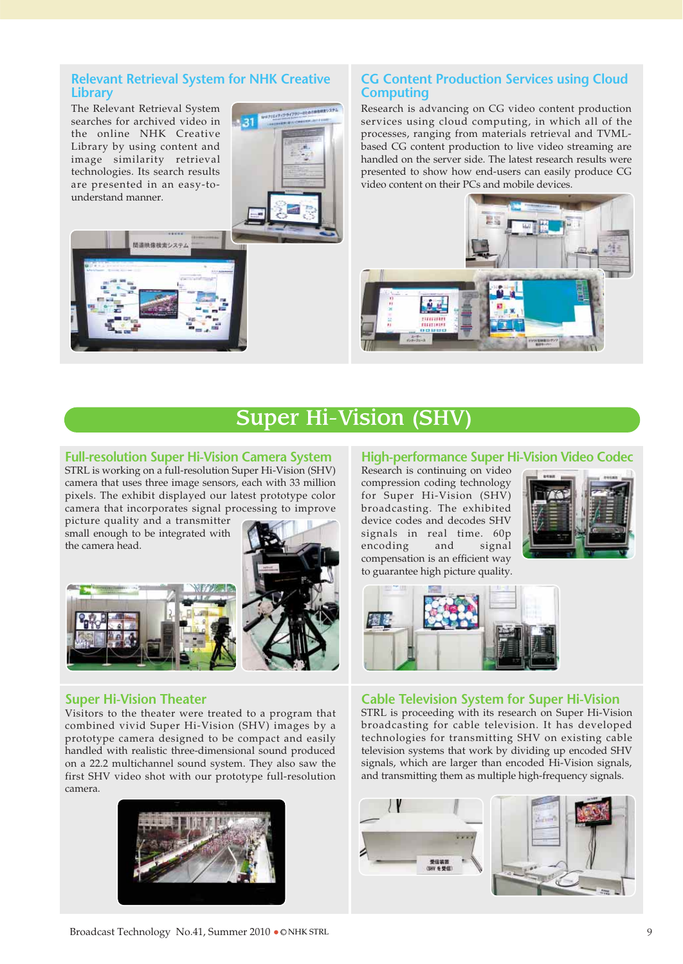#### **Relevant Retrieval System for NHK Creative Library**

The Relevant Retrieval System searches for archived video in the online NHK Creative Library by using content and image similarity retrieval technologies. Its search results are presented in an easy-tounderstand manner.

川本神 後接会システィ



#### **CG Content Production Services using Cloud Computing**

Research is advancing on CG video content production services using cloud computing, in which all of the processes, ranging from materials retrieval and TVMLbased CG content production to live video streaming are handled on the server side. The latest research results were presented to show how end-users can easily produce CG video content on their PCs and mobile devices.



## Super Hi-Vision (SHV)

#### **Full-resolution Super Hi-Vision Camera System**

STRL is working on a full-resolution Super Hi-Vision (SHV) camera that uses three image sensors, each with 33 million pixels. The exhibit displayed our latest prototype color camera that incorporates signal processing to improve

picture quality and a transmitter small enough to be integrated with the camera head.





#### **Super Hi-Vision Theater**

Visitors to the theater were treated to a program that combined vivid Super Hi-Vision (SHV) images by a prototype camera designed to be compact and easily handled with realistic three-dimensional sound produced on a 22.2 multichannel sound system. They also saw the first SHV video shot with our prototype full-resolution camera.



#### **High-performance Super Hi-Vision Video Codec**

Research is continuing on video compression coding technology for Super Hi-Vision (SHV) broadcasting. The exhibited device codes and decodes SHV signals in real time. 60p encoding and signal compensation is an efficient way to guarantee high picture quality.





#### **Cable Television System for Super Hi-Vision**

STRL is proceeding with its research on Super Hi-Vision broadcasting for cable television. It has developed technologies for transmitting SHV on existing cable television systems that work by dividing up encoded SHV signals, which are larger than encoded Hi-Vision signals, and transmitting them as multiple high-frequency signals.



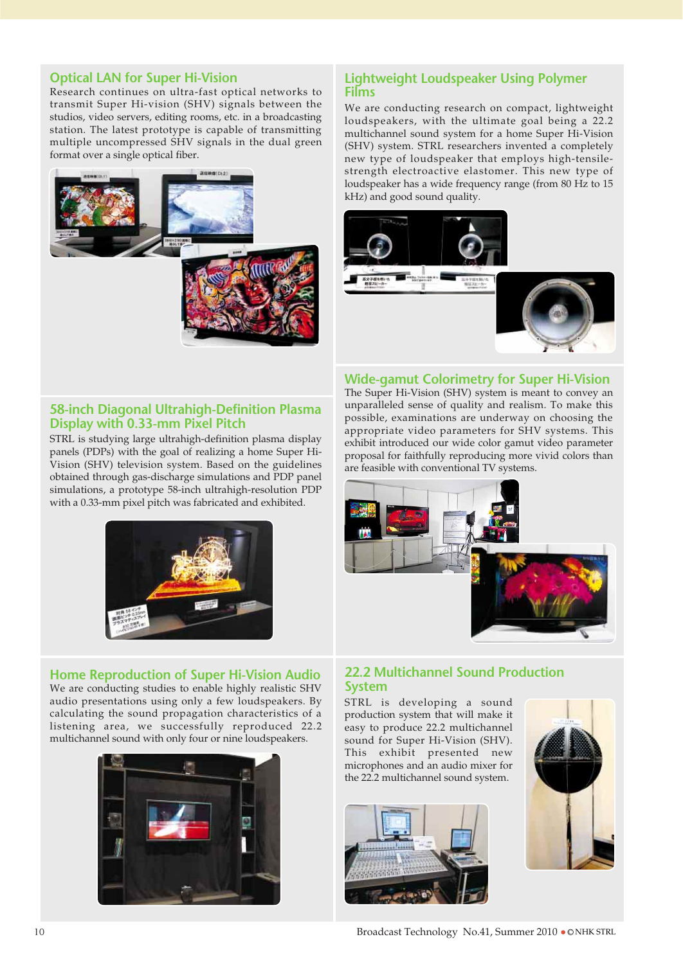#### **Optical LAN for Super Hi-Vision**

Research continues on ultra-fast optical networks to transmit Super Hi-vision (SHV) signals between the studios, video servers, editing rooms, etc. in a broadcasting station. The latest prototype is capable of transmitting multiple uncompressed SHV signals in the dual green format over a single optical fiber.



#### **Lightweight Loudspeaker Using Polymer Films**

We are conducting research on compact, lightweight loudspeakers, with the ultimate goal being a 22.2 multichannel sound system for a home Super Hi-Vision (SHV) system. STRL researchers invented a completely new type of loudspeaker that employs high-tensilestrength electroactive elastomer. This new type of loudspeaker has a wide frequency range (from 80 Hz to 15 kHz) and good sound quality.



#### **Wide-gamut Colorimetry for Super Hi-Vision**

#### **58-inch Diagonal Ultrahigh-Definition Plasma Display with 0.33-mm Pixel Pitch**

STRL is studying large ultrahigh-definition plasma display panels (PDPs) with the goal of realizing a home Super Hi-Vision (SHV) television system. Based on the guidelines obtained through gas-discharge simulations and PDP panel simulations, a prototype 58-inch ultrahigh-resolution PDP with a 0.33-mm pixel pitch was fabricated and exhibited.



#### **Home Reproduction of Super Hi-Vision Audio**

We are conducting studies to enable highly realistic SHV audio presentations using only a few loudspeakers. By calculating the sound propagation characteristics of a listening area, we successfully reproduced 22.2 multichannel sound with only four or nine loudspeakers.



The Super Hi-Vision (SHV) system is meant to convey an unparalleled sense of quality and realism. To make this possible, examinations are underway on choosing the appropriate video parameters for SHV systems. This exhibit introduced our wide color gamut video parameter proposal for faithfully reproducing more vivid colors than are feasible with conventional TV systems.



# **22.2 Multichannel Sound Production**

STRL is developing a sound production system that will make it easy to produce 22.2 multichannel sound for Super Hi-Vision (SHV). This exhibit presented new microphones and an audio mixer for the 22.2 multichannel sound system.



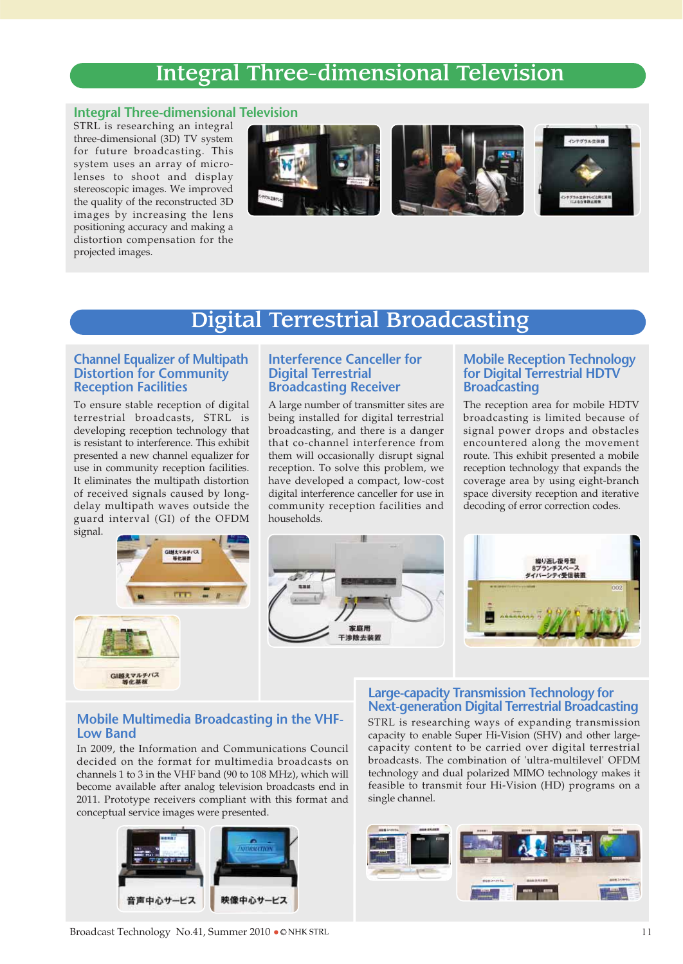### Integral Three-dimensional Television

#### **Integral Three-dimensional Television**

STRL is researching an integral three-dimensional (3D) TV system for future broadcasting. This system uses an array of microlenses to shoot and display stereoscopic images. We improved the quality of the reconstructed 3D images by increasing the lens positioning accuracy and making a distortion compensation for the projected images.



### Digital Terrestrial Broadcasting

#### **Channel Equalizer of Multipath Distortion for Community Reception Facilities**

To ensure stable reception of digital terrestrial broadcasts, STRL is developing reception technology that is resistant to interference. This exhibit presented a new channel equalizer for use in community reception facilities. It eliminates the multipath distortion of received signals caused by longdelay multipath waves outside the guard interval (GI) of the OFDM signal.

GI越えマルチバス

#### **Interference Canceller for Digital Terrestrial Broadcasting Receiver**

A large number of transmitter sites are being installed for digital terrestrial broadcasting, and there is a danger that co-channel interference from them will occasionally disrupt signal reception. To solve this problem, we have developed a compact, low-cost digital interference canceller for use in community reception facilities and households.

#### **Mobile Reception Technology for Digital Terrestrial HDTV Broadcasting**

The reception area for mobile HDTV broadcasting is limited because of signal power drops and obstacles encountered along the movement route. This exhibit presented a mobile reception technology that expands the coverage area by using eight-branch space diversity reception and iterative decoding of error correction codes.



#### **Mobile Multimedia Broadcasting in the VHF-Low Band**

In 2009, the Information and Communications Council decided on the format for multimedia broadcasts on channels 1 to 3 in the VHF band (90 to 108 MHz), which will become available after analog television broadcasts end in 2011. Prototype receivers compliant with this format and conceptual service images were presented.



#### **Large-capacity Transmission Technology for Next-generation Digital Terrestrial Broadcasting**

STRL is researching ways of expanding transmission capacity to enable Super Hi-Vision (SHV) and other largecapacity content to be carried over digital terrestrial broadcasts. The combination of 'ultra-multilevel' OFDM technology and dual polarized MIMO technology makes it feasible to transmit four Hi-Vision (HD) programs on a single channel.

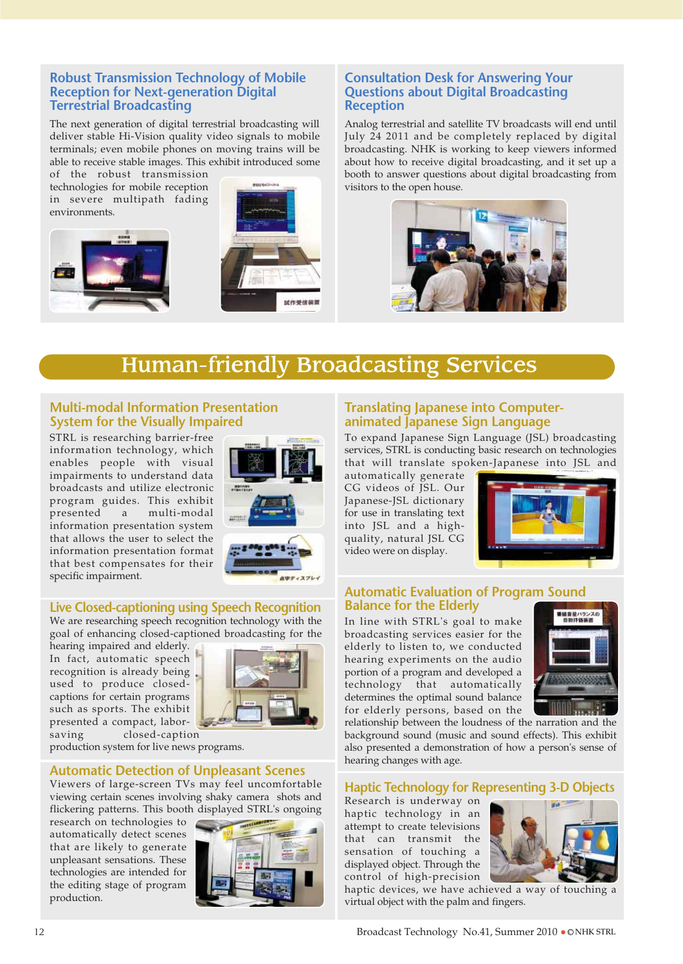#### **Robust Transmission Technology of Mobile Reception for Next-generation Digital Terrestrial Broadcasting**

The next generation of digital terrestrial broadcasting will deliver stable Hi-Vision quality video signals to mobile terminals; even mobile phones on moving trains will be able to receive stable images. This exhibit introduced some

of the robust transmission technologies for mobile reception in severe multipath fading environments.





#### **Consultation Desk for Answering Your Questions about Digital Broadcasting Reception**

Analog terrestrial and satellite TV broadcasts will end until July 24 2011 and be completely replaced by digital broadcasting. NHK is working to keep viewers informed about how to receive digital broadcasting, and it set up a booth to answer questions about digital broadcasting from visitors to the open house.



### Human-friendly Broadcasting Services

#### **Multi-modal Information Presentation System for the Visually Impaired**

STRL is researching barrier-free information technology, which enables people with visual impairments to understand data broadcasts and utilize electronic program guides. This exhibit presented a multi-modal information presentation system that allows the user to select the information presentation format that best compensates for their specific impairment.



#### **Live Closed-captioning using Speech Recognition**

We are researching speech recognition technology with the goal of enhancing closed-captioned broadcasting for the

hearing impaired and elderly. In fact, automatic speech recognition is already being used to produce closedcaptions for certain programs such as sports. The exhibit presented a compact, laborsaving closed-caption



production system for live news programs.

#### **Automatic Detection of Unpleasant Scenes**

Viewers of large-screen TVs may feel uncomfortable viewing certain scenes involving shaky camera shots and flickering patterns. This booth displayed STRL's ongoing

research on technologies to automatically detect scenes that are likely to generate unpleasant sensations. These technologies are intended for the editing stage of program production.



#### **Translating Japanese into Computeranimated Japanese Sign Language**

To expand Japanese Sign Language (JSL) broadcasting services, STRL is conducting basic research on technologies that will translate spoken-Japanese into JSL and

automatically generate CG videos of JSL. Our Japanese-JSL dictionary for use in translating text into JSL and a highquality, natural JSL CG video were on display.



#### **Automatic Evaluation of Program Sound Balance for the Elderly**

In line with STRL's goal to make broadcasting services easier for the elderly to listen to, we conducted hearing experiments on the audio portion of a program and developed a technology that automatically determines the optimal sound balance for elderly persons, based on the



relationship between the loudness of the narration and the background sound (music and sound effects). This exhibit also presented a demonstration of how a person's sense of hearing changes with age.

#### **Haptic Technology for Representing 3-D Objects**

Research is underway on haptic technology in an attempt to create televisions that can transmit the sensation of touching a displayed object. Through the control of high-precision



haptic devices, we have achieved a way of touching a virtual object with the palm and fingers.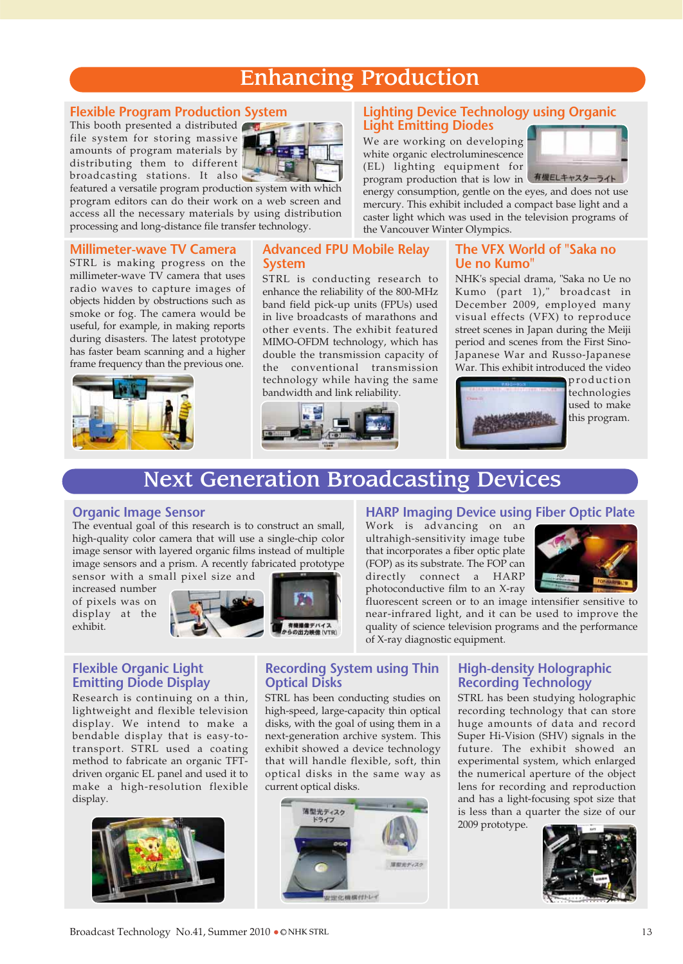### Enhancing Production

#### **Flexible Program Production System**

This booth presented a distributed file system for storing massive amounts of program materials by distributing them to different broadcasting stations. It also



featured a versatile program production system with which program editors can do their work on a web screen and access all the necessary materials by using distribution processing and long-distance file transfer technology.

#### **Millimeter-wave TV Camera**

STRL is making progress on the millimeter-wave TV camera that uses radio waves to capture images of objects hidden by obstructions such as smoke or fog. The camera would be useful, for example, in making reports during disasters. The latest prototype has faster beam scanning and a higher frame frequency than the previous one.



#### **Advanced FPU Mobile Relay System**

STRL is conducting research to enhance the reliability of the 800-MHz band field pick-up units (FPUs) used in live broadcasts of marathons and other events. The exhibit featured MIMO-OFDM technology, which has double the transmission capacity of the conventional transmission technology while having the same bandwidth and link reliability.



#### **Lighting Device Technology using Organic Light Emitting Diodes**

We are working on developing white organic electroluminescence (EL) lighting equipment for



program production that is low in 有機ELキャスターライ energy consumption, gentle on the eyes, and does not use mercury. This exhibit included a compact base light and a caster light which was used in the television programs of the Vancouver Winter Olympics.

#### **The VFX World of "Saka no Ue no Kumo"**

NHK's special drama, "Saka no Ue no Kumo (part 1)," broadcast in December 2009, employed many visual effects (VFX) to reproduce street scenes in Japan during the Meiji period and scenes from the First Sino-Japanese War and Russo-Japanese War. This exhibit introduced the video



production technologies used to make this program.

### Next Generation Broadcasting Devices

#### **Organic Image Sensor**

The eventual goal of this research is to construct an small, high-quality color camera that will use a single-chip color image sensor with layered organic films instead of multiple image sensors and a prism. A recently fabricated prototype sensor with a small pixel size and

increased number of pixels was on display at the exhibit.



#### **HARP Imaging Device using Fiber Optic Plate**

Work is advancing on an ultrahigh-sensitivity image tube that incorporates a fiber optic plate (FOP) as its substrate. The FOP can directly connect a HARP photoconductive film to an X-ray



fluorescent screen or to an image intensifier sensitive to near-infrared light, and it can be used to improve the quality of science television programs and the performance of X-ray diagnostic equipment.

#### **Flexible Organic Light Emitting Diode Display**

Research is continuing on a thin, lightweight and flexible television display. We intend to make a bendable display that is easy-totransport. STRL used a coating method to fabricate an organic TFTdriven organic EL panel and used it to make a high-resolution flexible display.



#### **Recording System using Thin Optical Disks**

STRL has been conducting studies on high-speed, large-capacity thin optical disks, with the goal of using them in a next-generation archive system. This exhibit showed a device technology that will handle flexible, soft, thin optical disks in the same way as current optical disks.



#### **High-density Holographic Recording Technology**

STRL has been studying holographic recording technology that can store huge amounts of data and record Super Hi-Vision (SHV) signals in the future. The exhibit showed an experimental system, which enlarged the numerical aperture of the object lens for recording and reproduction and has a light-focusing spot size that is less than a quarter the size of our 2009 prototype.